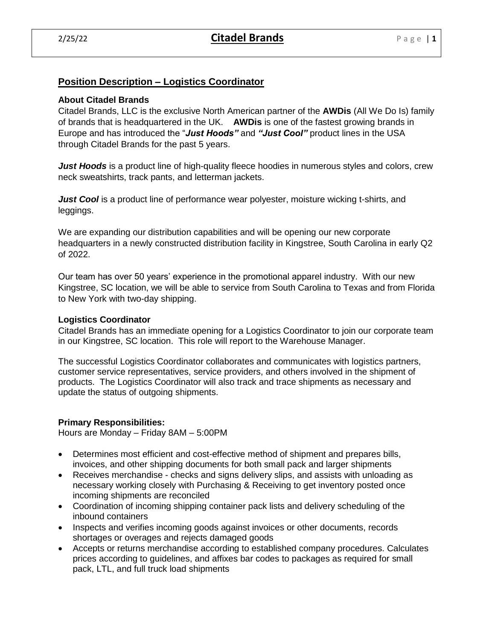# **Position Description – Logistics Coordinator**

#### **About Citadel Brands**

Citadel Brands, LLC is the exclusive North American partner of the **AWDis** (All We Do Is) family of brands that is headquartered in the UK. **AWDis** is one of the fastest growing brands in Europe and has introduced the "*Just Hoods"* and *"Just Cool"* product lines in the USA through Citadel Brands for the past 5 years.

*Just Hoods* is a product line of high-quality fleece hoodies in numerous styles and colors, crew neck sweatshirts, track pants, and letterman jackets.

*Just Cool* is a product line of performance wear polyester, moisture wicking t-shirts, and leggings.

We are expanding our distribution capabilities and will be opening our new corporate headquarters in a newly constructed distribution facility in Kingstree, South Carolina in early Q2 of 2022.

Our team has over 50 years' experience in the promotional apparel industry. With our new Kingstree, SC location, we will be able to service from South Carolina to Texas and from Florida to New York with two-day shipping.

### **Logistics Coordinator**

Citadel Brands has an immediate opening for a Logistics Coordinator to join our corporate team in our Kingstree, SC location. This role will report to the Warehouse Manager.

The successful Logistics Coordinator collaborates and communicates with logistics partners, customer service representatives, service providers, and others involved in the shipment of products. The Logistics Coordinator will also track and trace shipments as necessary and update the status of outgoing shipments.

#### **Primary Responsibilities:**

Hours are Monday – Friday 8AM – 5:00PM

- Determines most efficient and cost-effective method of shipment and prepares bills, invoices, and other shipping documents for both small pack and larger shipments
- Receives merchandise checks and signs delivery slips, and assists with unloading as necessary working closely with Purchasing & Receiving to get inventory posted once incoming shipments are reconciled
- Coordination of incoming shipping container pack lists and delivery scheduling of the inbound containers
- Inspects and verifies incoming goods against invoices or other documents, records shortages or overages and rejects damaged goods
- Accepts or returns merchandise according to established company procedures. Calculates prices according to guidelines, and affixes bar codes to packages as required for small pack, LTL, and full truck load shipments